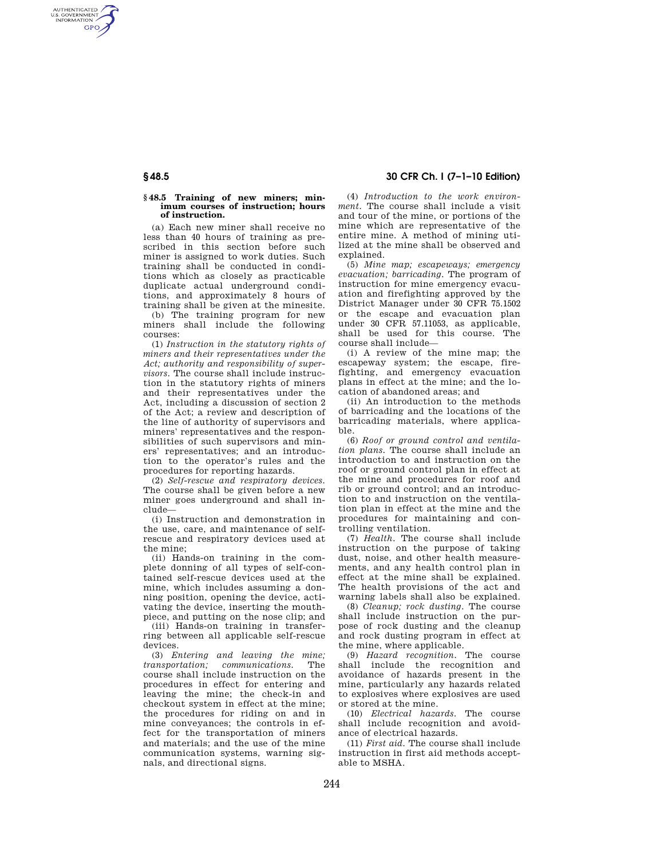## **§ 48.5 30 CFR Ch. I (7–1–10 Edition)**

## **§ 48.5 Training of new miners; minimum courses of instruction; hours of instruction.**

AUTHENTICATED<br>U.S. GOVERNMENT<br>INFORMATION **GPO** 

> (a) Each new miner shall receive no less than 40 hours of training as prescribed in this section before such miner is assigned to work duties. Such training shall be conducted in conditions which as closely as practicable duplicate actual underground conditions, and approximately 8 hours of training shall be given at the minesite.

> (b) The training program for new miners shall include the following courses:

> (1) *Instruction in the statutory rights of miners and their representatives under the Act; authority and responsibility of supervisors.* The course shall include instruction in the statutory rights of miners and their representatives under the Act, including a discussion of section 2 of the Act; a review and description of the line of authority of supervisors and miners' representatives and the responsibilities of such supervisors and miners' representatives; and an introduction to the operator's rules and the procedures for reporting hazards.

(2) *Self-rescue and respiratory devices.*  The course shall be given before a new miner goes underground and shall include—

(i) Instruction and demonstration in the use, care, and maintenance of selfrescue and respiratory devices used at the mine;

(ii) Hands-on training in the complete donning of all types of self-contained self-rescue devices used at the mine, which includes assuming a donning position, opening the device, activating the device, inserting the mouthpiece, and putting on the nose clip; and

(iii) Hands-on training in transferring between all applicable self-rescue devices.

(3) *Entering and leaving the mine; transportation: communications.* course shall include instruction on the procedures in effect for entering and leaving the mine; the check-in and checkout system in effect at the mine; the procedures for riding on and in mine conveyances; the controls in effect for the transportation of miners and materials; and the use of the mine communication systems, warning signals, and directional signs.

(4) *Introduction to the work environment.* The course shall include a visit and tour of the mine, or portions of the mine which are representative of the entire mine. A method of mining utilized at the mine shall be observed and explained.

(5) *Mine map; escapeways; emergency evacuation; barricading.* The program of instruction for mine emergency evacuation and firefighting approved by the District Manager under 30 CFR 75.1502 or the escape and evacuation plan under 30 CFR 57.11053, as applicable, shall be used for this course. The course shall include—

(i) A review of the mine map; the escapeway system; the escape, firefighting, and emergency evacuation plans in effect at the mine; and the location of abandoned areas; and

(ii) An introduction to the methods of barricading and the locations of the barricading materials, where applicable.

(6) *Roof or ground control and ventilation plans.* The course shall include an introduction to and instruction on the roof or ground control plan in effect at the mine and procedures for roof and rib or ground control; and an introduction to and instruction on the ventilation plan in effect at the mine and the procedures for maintaining and controlling ventilation.

(7) *Health.* The course shall include instruction on the purpose of taking dust, noise, and other health measurements, and any health control plan in effect at the mine shall be explained. The health provisions of the act and warning labels shall also be explained.

(8) *Cleanup; rock dusting.* The course shall include instruction on the purpose of rock dusting and the cleanup and rock dusting program in effect at the mine, where applicable.

(9) *Hazard recognition.* The course shall include the recognition and avoidance of hazards present in the mine, particularly any hazards related to explosives where explosives are used or stored at the mine.

(10) *Electrical hazards.* The course shall include recognition and avoidance of electrical hazards.

(11) *First aid.* The course shall include instruction in first aid methods acceptable to MSHA.